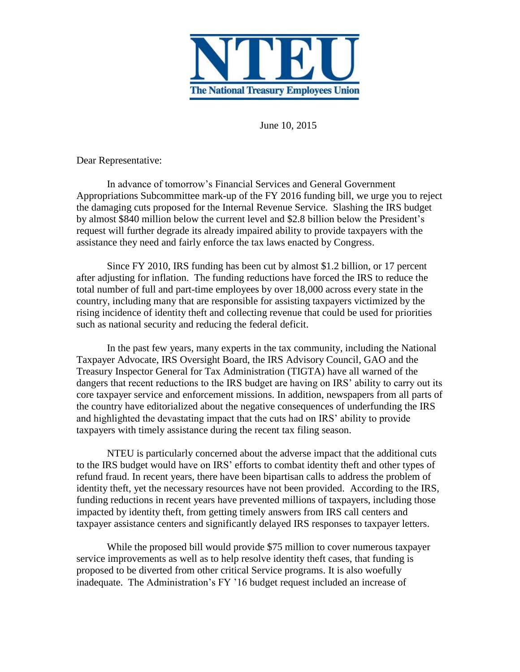

June 10, 2015

Dear Representative:

In advance of tomorrow's Financial Services and General Government Appropriations Subcommittee mark-up of the FY 2016 funding bill, we urge you to reject the damaging cuts proposed for the Internal Revenue Service. Slashing the IRS budget by almost \$840 million below the current level and \$2.8 billion below the President's request will further degrade its already impaired ability to provide taxpayers with the assistance they need and fairly enforce the tax laws enacted by Congress.

Since FY 2010, IRS funding has been cut by almost \$1.2 billion, or 17 percent after adjusting for inflation. The funding reductions have forced the IRS to reduce the total number of full and part-time employees by over 18,000 across every state in the country, including many that are responsible for assisting taxpayers victimized by the rising incidence of identity theft and collecting revenue that could be used for priorities such as national security and reducing the federal deficit.

In the past few years, many experts in the tax community, including the National Taxpayer Advocate, IRS Oversight Board, the IRS Advisory Council, GAO and the Treasury Inspector General for Tax Administration (TIGTA) have all warned of the dangers that recent reductions to the IRS budget are having on IRS' ability to carry out its core taxpayer service and enforcement missions. In addition, newspapers from all parts of the country have editorialized about the negative consequences of underfunding the IRS and highlighted the devastating impact that the cuts had on IRS' ability to provide taxpayers with timely assistance during the recent tax filing season.

NTEU is particularly concerned about the adverse impact that the additional cuts to the IRS budget would have on IRS' efforts to combat identity theft and other types of refund fraud. In recent years, there have been bipartisan calls to address the problem of identity theft, yet the necessary resources have not been provided. According to the IRS, funding reductions in recent years have prevented millions of taxpayers, including those impacted by identity theft, from getting timely answers from IRS call centers and taxpayer assistance centers and significantly delayed IRS responses to taxpayer letters.

While the proposed bill would provide \$75 million to cover numerous taxpayer service improvements as well as to help resolve identity theft cases, that funding is proposed to be diverted from other critical Service programs. It is also woefully inadequate. The Administration's FY '16 budget request included an increase of